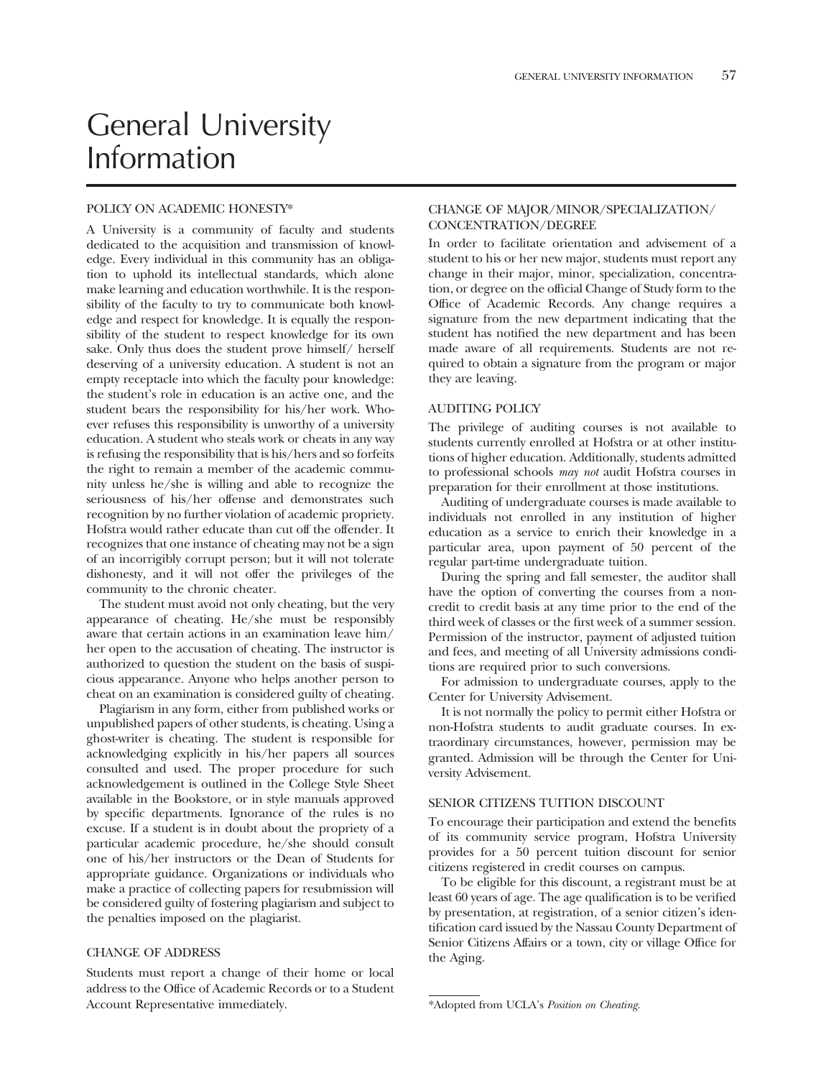# General University Information

# POLICY ON ACADEMIC HONESTY\*

A University is a community of faculty and students dedicated to the acquisition and transmission of knowledge. Every individual in this community has an obligation to uphold its intellectual standards, which alone make learning and education worthwhile. It is the responsibility of the faculty to try to communicate both knowledge and respect for knowledge. It is equally the responsibility of the student to respect knowledge for its own sake. Only thus does the student prove himself/ herself deserving of a university education. A student is not an empty receptacle into which the faculty pour knowledge: the student's role in education is an active one, and the student bears the responsibility for his/her work. Whoever refuses this responsibility is unworthy of a university education. A student who steals work or cheats in any way is refusing the responsibility that is his/hers and so forfeits the right to remain a member of the academic community unless he/she is willing and able to recognize the seriousness of his/her offense and demonstrates such recognition by no further violation of academic propriety. Hofstra would rather educate than cut off the offender. It recognizes that one instance of cheating may not be a sign of an incorrigibly corrupt person; but it will not tolerate dishonesty, and it will not offer the privileges of the community to the chronic cheater.

The student must avoid not only cheating, but the very appearance of cheating. He/she must be responsibly aware that certain actions in an examination leave him/ her open to the accusation of cheating. The instructor is authorized to question the student on the basis of suspicious appearance. Anyone who helps another person to cheat on an examination is considered guilty of cheating.

Plagiarism in any form, either from published works or unpublished papers of other students, is cheating. Using a ghost-writer is cheating. The student is responsible for acknowledging explicitly in his/her papers all sources consulted and used. The proper procedure for such acknowledgement is outlined in the College Style Sheet available in the Bookstore, or in style manuals approved by specifc departments. Ignorance of the rules is no excuse. If a student is in doubt about the propriety of a particular academic procedure, he/she should consult one of his/her instructors or the Dean of Students for appropriate guidance. Organizations or individuals who make a practice of collecting papers for resubmission will be considered guilty of fostering plagiarism and subject to the penalties imposed on the plagiarist.

## CHANGE OF ADDRESS

Students must report a change of their home or local address to the Office of Academic Records or to a Student Account Representative immediately.

# CHANGE OF MAJOR/MINOR/SPECIALIZATION/ CONCENTRATION/DEGREE

In order to facilitate orientation and advisement of a student to his or her new major, students must report any change in their major, minor, specialization, concentration, or degree on the offcial Change of Study form to the Office of Academic Records. Any change requires a signature from the new department indicating that the student has notifed the new department and has been made aware of all requirements. Students are not required to obtain a signature from the program or major they are leaving.

# AUDITING POLICY

The privilege of auditing courses is not available to students currently enrolled at Hofstra or at other institutions of higher education. Additionally, students admitted to professional schools *may not* audit Hofstra courses in preparation for their enrollment at those institutions.

Auditing of undergraduate courses is made available to individuals not enrolled in any institution of higher education as a service to enrich their knowledge in a particular area, upon payment of 50 percent of the regular part-time undergraduate tuition.

During the spring and fall semester, the auditor shall have the option of converting the courses from a noncredit to credit basis at any time prior to the end of the third week of classes or the frst week of a summer session. Permission of the instructor, payment of adjusted tuition and fees, and meeting of all University admissions conditions are required prior to such conversions.

For admission to undergraduate courses, apply to the Center for University Advisement.

It is not normally the policy to permit either Hofstra or non-Hofstra students to audit graduate courses. In extraordinary circumstances, however, permission may be granted. Admission will be through the Center for University Advisement.

# SENIOR CITIZENS TUITION DISCOUNT

To encourage their participation and extend the benefts of its community service program, Hofstra University provides for a 50 percent tuition discount for senior citizens registered in credit courses on campus.

To be eligible for this discount, a registrant must be at least 60 years of age. The age qualifcation is to be verifed by presentation, at registration, of a senior citizen's identifcation card issued by the Nassau County Department of Senior Citizens Affairs or a town, city or village Office for the Aging.

<sup>\*</sup>Adopted from UCLA's *Position on Cheating.*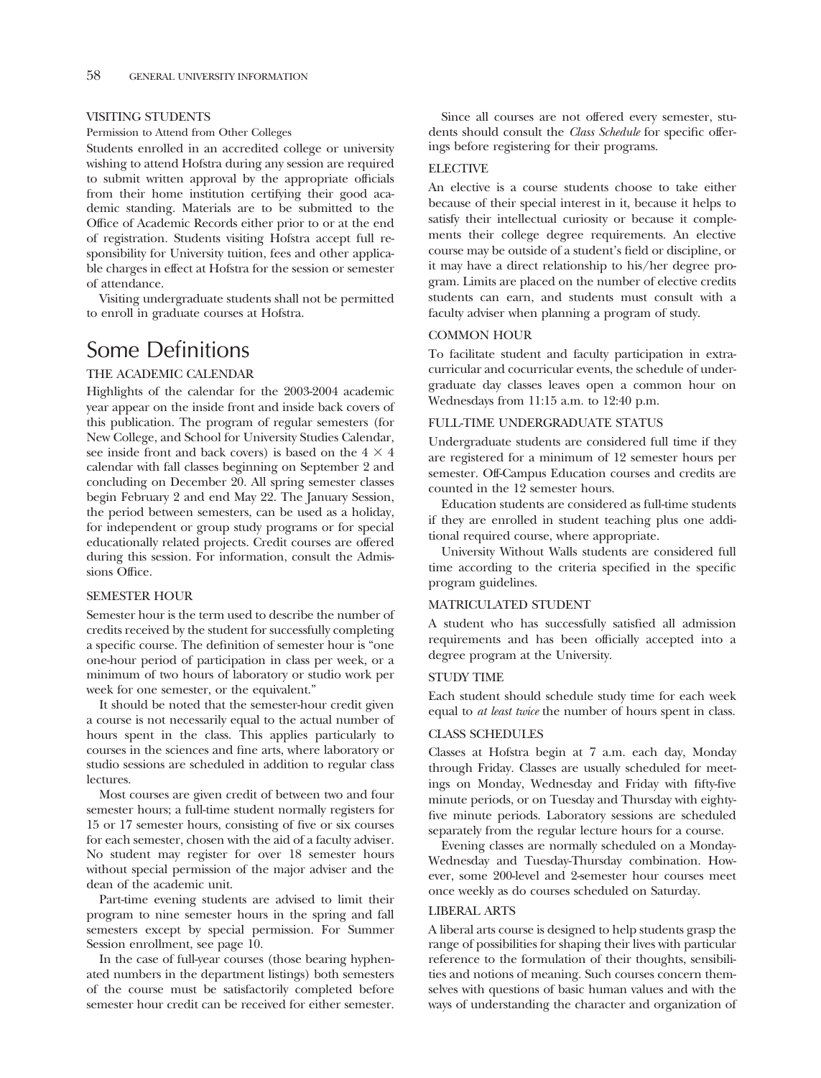# VISITING STUDENTS

#### Permission to Attend from Other Colleges

Students enrolled in an accredited college or university wishing to attend Hofstra during any session are required to submit written approval by the appropriate officials from their home institution certifying their good academic standing. Materials are to be submitted to the Office of Academic Records either prior to or at the end of registration. Students visiting Hofstra accept full responsibility for University tuition, fees and other applicable charges in effect at Hofstra for the session or semester of attendance.

Visiting undergraduate students shall not be permitted to enroll in graduate courses at Hofstra.

# Some Definitions

# THE ACADEMIC CALENDAR

Highlights of the calendar for the 2003-2004 academic year appear on the inside front and inside back covers of this publication. The program of regular semesters (for New College, and School for University Studies Calendar, see inside front and back covers) is based on the  $4 \times 4$ calendar with fall classes beginning on September 2 and concluding on December 20. All spring semester classes begin February 2 and end May 22. The January Session, the period between semesters, can be used as a holiday, for independent or group study programs or for special educationally related projects. Credit courses are offered during this session. For information, consult the Admissions Office.

# SEMESTER HOUR

Semester hour is the term used to describe the number of credits received by the student for successfully completing a specifc course. The defnition of semester hour is "one one-hour period of participation in class per week, or a minimum of two hours of laboratory or studio work per week for one semester, or the equivalent."

It should be noted that the semester-hour credit given a course is not necessarily equal to the actual number of hours spent in the class. This applies particularly to courses in the sciences and fne arts, where laboratory or studio sessions are scheduled in addition to regular class lectures.

Most courses are given credit of between two and four semester hours; a full-time student normally registers for 15 or 17 semester hours, consisting of fve or six courses for each semester, chosen with the aid of a faculty adviser. No student may register for over 18 semester hours without special permission of the major adviser and the dean of the academic unit.

Part-time evening students are advised to limit their program to nine semester hours in the spring and fall semesters except by special permission. For Summer Session enrollment, see page 10.

In the case of full-year courses (those bearing hyphenated numbers in the department listings) both semesters of the course must be satisfactorily completed before semester hour credit can be received for either semester.

Since all courses are not offered every semester, students should consult the *Class Schedule* for specifc offerings before registering for their programs.

### ELECTIVE

An elective is a course students choose to take either because of their special interest in it, because it helps to satisfy their intellectual curiosity or because it complements their college degree requirements. An elective course may be outside of a student's feld or discipline, or it may have a direct relationship to his/her degree program. Limits are placed on the number of elective credits students can earn, and students must consult with a faculty adviser when planning a program of study.

# COMMON HOUR

To facilitate student and faculty participation in extracurricular and cocurricular events, the schedule of undergraduate day classes leaves open a common hour on Wednesdays from 11:15 a.m. to 12:40 p.m.

# FULL-TIME UNDERGRADUATE STATUS

Undergraduate students are considered full time if they are registered for a minimum of 12 semester hours per semester. Off-Campus Education courses and credits are counted in the 12 semester hours.

Education students are considered as full-time students if they are enrolled in student teaching plus one additional required course, where appropriate.

University Without Walls students are considered full time according to the criteria specifed in the specifc program guidelines.

#### MATRICULATED STUDENT

A student who has successfully satisfed all admission requirements and has been offcially accepted into a degree program at the University.

#### STUDY TIME

Each student should schedule study time for each week equal to *at least twice* the number of hours spent in class.

# CLASS SCHEDULES

Classes at Hofstra begin at 7 a.m. each day, Monday through Friday. Classes are usually scheduled for meetings on Monday, Wednesday and Friday with ffty-fve minute periods, or on Tuesday and Thursday with eightyfive minute periods. Laboratory sessions are scheduled separately from the regular lecture hours for a course.

Evening classes are normally scheduled on a Monday-Wednesday and Tuesday-Thursday combination. However, some 200-level and 2-semester hour courses meet once weekly as do courses scheduled on Saturday.

## LIBERAL ARTS

A liberal arts course is designed to help students grasp the range of possibilities for shaping their lives with particular reference to the formulation of their thoughts, sensibilities and notions of meaning. Such courses concern themselves with questions of basic human values and with the ways of understanding the character and organization of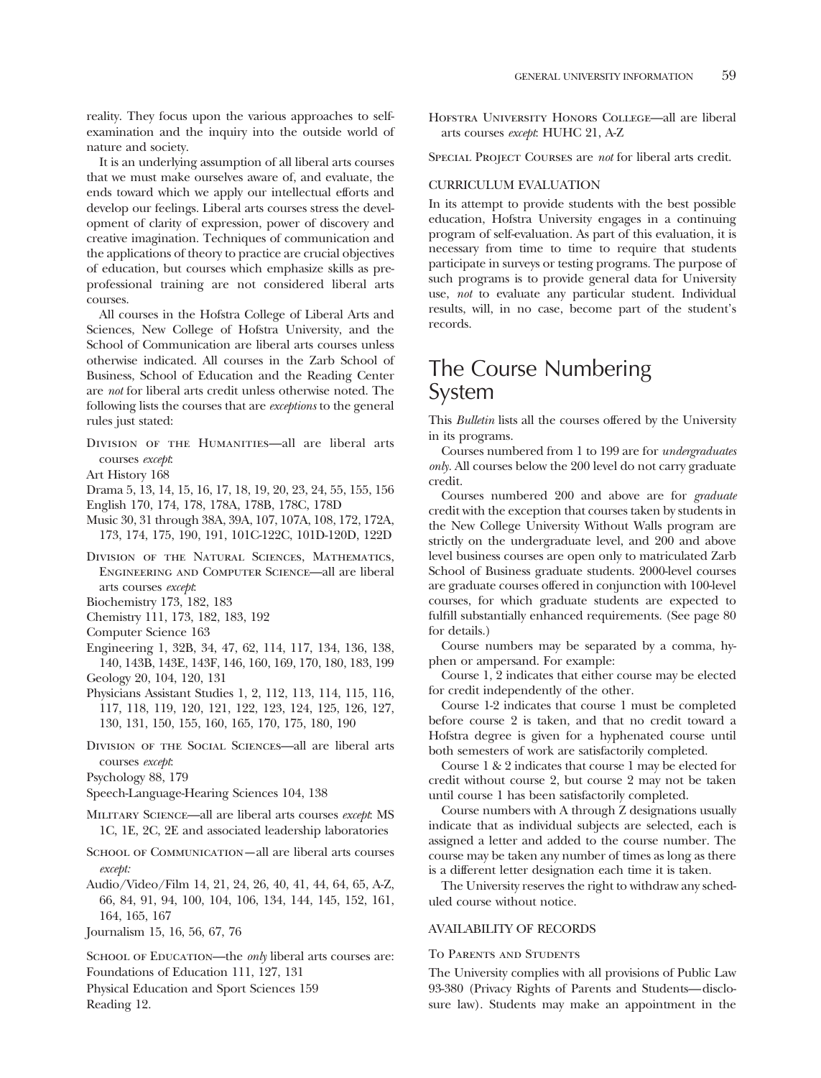reality. They focus upon the various approaches to selfexamination and the inquiry into the outside world of nature and society.

It is an underlying assumption of all liberal arts courses that we must make ourselves aware of, and evaluate, the ends toward which we apply our intellectual efforts and develop our feelings. Liberal arts courses stress the development of clarity of expression, power of discovery and creative imagination. Techniques of communication and the applications of theory to practice are crucial objectives of education, but courses which emphasize skills as preprofessional training are not considered liberal arts courses.

All courses in the Hofstra College of Liberal Arts and Sciences, New College of Hofstra University, and the School of Communication are liberal arts courses unless otherwise indicated. All courses in the Zarb School of Business, School of Education and the Reading Center are *not* for liberal arts credit unless otherwise noted. The following lists the courses that are *exceptions* to the general rules just stated:

DIVISION OF THE HUMANITIES-all are liberal arts courses *except*:

Art History 168

- Drama 5, 13, 14, 15, 16, 17, 18, 19, 20, 23, 24, 55, 155, 156
- English 170, 174, 178, 178A, 178B, 178C, 178D
- Music 30, 31 through 38A, 39A, 107, 107A, 108, 172, 172A, 173, 174, 175, 190, 191, 101C-122C, 101D-120D, 122D
- Division of the Natural Sciences, Mathematics, Engineering and Computer Science—all are liberal arts courses *except*:

Biochemistry 173, 182, 183

- Chemistry 111, 173, 182, 183, 192
- Computer Science 163
- Engineering 1, 32B, 34, 47, 62, 114, 117, 134, 136, 138, 140, 143B, 143E, 143F, 146, 160, 169, 170, 180, 183, 199 Geology 20, 104, 120, 131
- Physicians Assistant Studies 1, 2, 112, 113, 114, 115, 116, 117, 118, 119, 120, 121, 122, 123, 124, 125, 126, 127, 130, 131, 150, 155, 160, 165, 170, 175, 180, 190
- Division of the Social Sciences—all are liberal arts courses *except*:

Psychology 88, 179

Speech-Language-Hearing Sciences 104, 138

- Military Science—all are liberal arts courses *except*: MS 1C, 1E, 2C, 2E and associated leadership laboratories
- SCHOOL OF COMMUNICATION—all are liberal arts courses *except:*
- Audio/Video/Film 14, 21, 24, 26, 40, 41, 44, 64, 65, A-Z, 66, 84, 91, 94, 100, 104, 106, 134, 144, 145, 152, 161, 164, 165, 167
- Journalism 15, 16, 56, 67, 76

SCHOOL OF EDUCATION—the *only* liberal arts courses are: Foundations of Education 111, 127, 131

Physical Education and Sport Sciences 159 Reading 12.

Hofstra University Honors College—all are liberal arts courses *except*: HUHC 21, A-Z

Special Project Courses are *not* for liberal arts credit.

#### CURRICULUM EVALUATION

In its attempt to provide students with the best possible education, Hofstra University engages in a continuing program of self-evaluation. As part of this evaluation, it is necessary from time to time to require that students participate in surveys or testing programs. The purpose of such programs is to provide general data for University use, *not* to evaluate any particular student. Individual results, will, in no case, become part of the student's records.

# The Course Numbering System

This *Bulletin* lists all the courses offered by the University in its programs.

Courses numbered from 1 to 199 are for *undergraduates only.* All courses below the 200 level do not carry graduate credit.

Courses numbered 200 and above are for *graduate*  credit with the exception that courses taken by students in the New College University Without Walls program are strictly on the undergraduate level, and 200 and above level business courses are open only to matriculated Zarb School of Business graduate students. 2000-level courses are graduate courses offered in conjunction with 100-level courses, for which graduate students are expected to fulfll substantially enhanced requirements. (See page 80 for details.)

Course numbers may be separated by a comma, hyphen or ampersand. For example:

Course 1, 2 indicates that either course may be elected for credit independently of the other.

Course 1-2 indicates that course 1 must be completed before course 2 is taken, and that no credit toward a Hofstra degree is given for a hyphenated course until both semesters of work are satisfactorily completed.

Course1&2 indicates that course 1 may be elected for credit without course 2, but course 2 may not be taken until course 1 has been satisfactorily completed.

Course numbers with A through Z designations usually indicate that as individual subjects are selected, each is assigned a letter and added to the course number. The course may be taken any number of times as long as there is a different letter designation each time it is taken.

The University reserves the right to withdraw any scheduled course without notice.

# AVAILABILITY OF RECORDS

## To Parents and Students

The University complies with all provisions of Public Law 93-380 (Privacy Rights of Parents and Students— disclosure law). Students may make an appointment in the